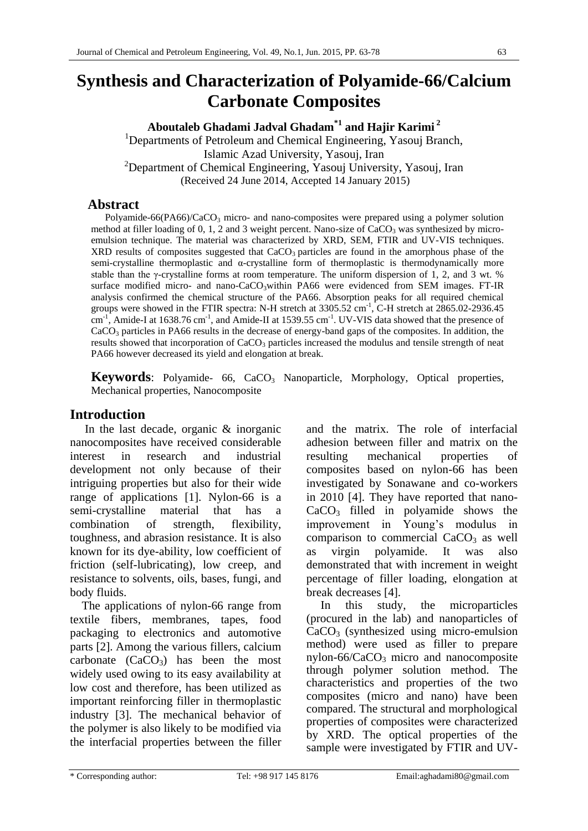# **Synthesis and Characterization of Polyamide-66/Calcium Carbonate Composites**

**Aboutaleb Ghadami Jadval Ghadam\*1 and Hajir Karimi <sup>2</sup>** <sup>1</sup>Departments of Petroleum and Chemical Engineering, Yasouj Branch, Islamic Azad University, Yasouj, Iran <sup>2</sup>Department of Chemical Engineering, Yasouj University, Yasouj, Iran

(Received 24 June 2014, Accepted 14 January 2015)

# **Abstract**

Polyamide-66(PA66)/CaCO<sub>3</sub> micro- and nano-composites were prepared using a polymer solution method at filler loading of 0, 1, 2 and 3 weight percent. Nano-size of  $CaCO<sub>3</sub>$  was synthesized by microemulsion technique. The material was characterized by XRD, SEM, FTIR and UV-VIS techniques.  $XRD$  results of composites suggested that  $CaCO<sub>3</sub>$  particles are found in the amorphous phase of the semi-crystalline thermoplastic and α-crystalline form of thermoplastic is thermodynamically more stable than the γ-crystalline forms at room temperature. The uniform dispersion of 1, 2, and 3 wt. % surface modified micro- and nano-CaCO<sub>3</sub>within PA66 were evidenced from SEM images. FT-IR analysis confirmed the chemical structure of the PA66. Absorption peaks for all required chemical groups were showed in the FTIR spectra: N-H stretch at  $3305.52$  cm<sup>-1</sup>, C-H stretch at  $2865.02$ -2936.45 cm<sup>-1</sup>, Amide-I at 1638.76 cm<sup>-1</sup>, and Amide-II at 1539.55 cm<sup>-1</sup>. UV-VIS data showed that the presence of CaCO<sup>3</sup> particles in PA66 results in the decrease of energy-band gaps of the composites. In addition, the results showed that incorporation of CaCO<sub>3</sub> particles increased the modulus and tensile strength of neat PA66 however decreased its yield and elongation at break.

**Keywords**: Polyamide- 66, CaCO<sub>3</sub> Nanoparticle, Morphology, Optical properties, Mechanical properties, Nanocomposite

### **Introduction**

 In the last decade, organic & inorganic nanocomposites have received considerable interest in research and industrial development not only because of their intriguing properties but also for their wide range of applications [1]. Nylon-66 is a semi-crystalline material that has a combination of strength, flexibility, toughness, and abrasion resistance. It is also known for its dye-ability, low coefficient of friction (self-lubricating), low creep, and resistance to solvents, oils, bases, fungi, and body fluids.

 The applications of nylon-66 range from textile fibers, membranes, tapes, food packaging to electronics and automotive parts [2]. Among the various fillers, calcium carbonate  $(CaCO<sub>3</sub>)$  has been the most widely used owing to its easy availability at low cost and therefore, has been utilized as important reinforcing filler in thermoplastic industry [3]. The mechanical behavior of the polymer is also likely to be modified via the interfacial properties between the filler

and the matrix. The role of interfacial adhesion between filler and matrix on the resulting mechanical properties of composites based on nylon-66 has been investigated by Sonawane and co-workers in 2010 [4]. They have reported that nano- $CaCO<sub>3</sub>$  filled in polyamide shows the improvement in Young's modulus in comparison to commercial  $CaCO<sub>3</sub>$  as well as virgin polyamide. It was also demonstrated that with increment in weight percentage of filler loading, elongation at break decreases [4].

In this study, the microparticles (procured in the lab) and nanoparticles of  $CaCO<sub>3</sub>$  (synthesized using micro-emulsion method) were used as filler to prepare  $nylon-66/CaCO<sub>3</sub>$  micro and nanocomposite through polymer solution method. The characteristics and properties of the two composites (micro and nano) have been compared. The structural and morphological properties of composites were characterized by XRD. The optical properties of the sample were investigated by FTIR and UV-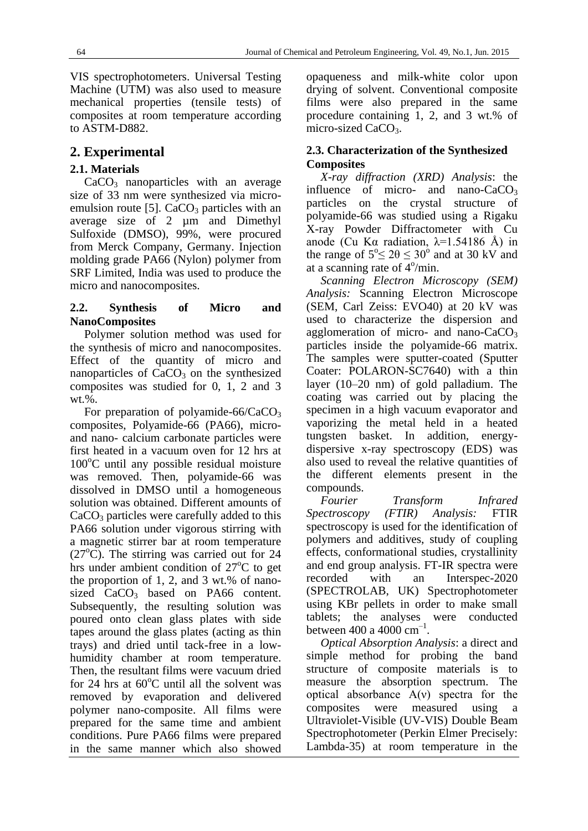VIS spectrophotometers. Universal Testing Machine (UTM) was also used to measure mechanical properties (tensile tests) of composites at room temperature according to ASTM-D882.

### **2. Experimental**

## **2.1. Materials**

 $CaCO<sub>3</sub>$  nanoparticles with an average size of 33 nm were synthesized via microemulsion route [5].  $CaCO<sub>3</sub>$  particles with an average size of 2 µm and Dimethyl Sulfoxide (DMSO), 99%, were procured from Merck Company, Germany. Injection molding grade PA66 (Nylon) polymer from SRF Limited, India was used to produce the micro and nanocomposites.

### **2.2. Synthesis of Micro and NanoComposites**

Polymer solution method was used for the synthesis of micro and nanocomposites. Effect of the quantity of micro and nanoparticles of  $CaCO<sub>3</sub>$  on the synthesized composites was studied for 0, 1, 2 and 3 wt.%.

For preparation of polyamide-66/CaCO<sub>3</sub> composites, Polyamide-66 (PA66), microand nano- calcium carbonate particles were first heated in a vacuum oven for 12 hrs at  $100^{\circ}$ C until any possible residual moisture was removed. Then, polyamide-66 was dissolved in DMSO until a homogeneous solution was obtained. Different amounts of CaCO<sup>3</sup> particles were carefully added to this PA66 solution under vigorous stirring with a magnetic stirrer bar at room temperature  $(27^{\circ}$ C). The stirring was carried out for 24 hrs under ambient condition of  $27^{\circ}$ C to get the proportion of 1, 2, and 3 wt.% of nanosized CaCO<sub>3</sub> based on PA66 content. Subsequently, the resulting solution was poured onto clean glass plates with side tapes around the glass plates (acting as thin trays) and dried until tack-free in a lowhumidity chamber at room temperature. Then, the resultant films were vacuum dried for 24 hrs at  $60^{\circ}$ C until all the solvent was removed by evaporation and delivered polymer nano-composite. All films were prepared for the same time and ambient conditions. Pure PA66 films were prepared in the same manner which also showed

opaqueness and milk-white color upon drying of solvent. Conventional composite films were also prepared in the same procedure containing 1, 2, and 3 wt.% of micro-sized CaCO<sub>3</sub>.

### **2.3. Characterization of the Synthesized Composites**

*X-ray diffraction (XRD) Analysis*: the influence of micro- and nano-CaCO<sub>3</sub> particles on the crystal structure of polyamide-66 was studied using a Rigaku X-ray Powder Diffractometer with Cu anode (Cu K $\alpha$  radiation,  $\lambda$ =1.54186 Å) in the range of  $5^{\circ} \le 2\theta \le 30^{\circ}$  and at 30 kV and at a scanning rate of  $\frac{1}{4}^{\circ}$ /min.

*Scanning Electron Microscopy (SEM) Analysis:* Scanning Electron Microscope (SEM, Carl Zeiss: EVO40) at 20 kV was used to characterize the dispersion and agglomeration of micro- and nano- $CaCO<sub>3</sub>$ particles inside the polyamide-66 matrix. The samples were sputter-coated (Sputter Coater: POLARON-SC7640) with a thin layer (10–20 nm) of gold palladium. The coating was carried out by placing the specimen in a high vacuum evaporator and vaporizing the metal held in a heated tungsten basket. In addition, energydispersive x-ray spectroscopy (EDS) was also used to reveal the relative quantities of the different elements present in the compounds.

*Fourier Transform Infrared Spectroscopy (FTIR) Analysis:* FTIR spectroscopy is used for the identification of polymers and additives, study of coupling effects, conformational studies, crystallinity and end group analysis. FT-IR spectra were recorded with an Interspec-2020 (SPECTROLAB, UK) Spectrophotometer using KBr pellets in order to make small tablets; the analyses were conducted between 400 a 4000  $cm^{-1}$ .

*Optical Absorption Analysis*: a direct and simple method for probing the band structure of composite materials is to measure the absorption spectrum. The optical absorbance A(ν) spectra for the composites were measured using a Ultraviolet-Visible (UV-VIS) Double Beam Spectrophotometer (Perkin Elmer Precisely: Lambda-35) at room temperature in the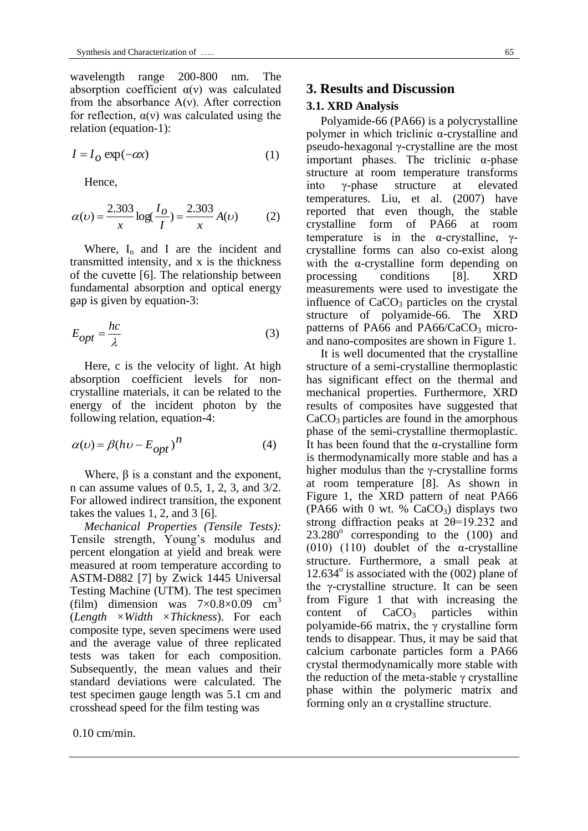wavelength range 200-800 nm. The absorption coefficient  $\alpha(v)$  was calculated from the absorbance  $A(v)$ . After correction for reflection,  $\alpha(v)$  was calculated using the relation (equation-1):

$$
I = I_O \exp(-\alpha x) \tag{1}
$$

Hence,

$$
\alpha(\nu) = \frac{2.303}{x} \log \frac{I_O}{I} = \frac{2.303}{x} A(\nu) \tag{2}
$$

Where,  $I_0$  and I are the incident and transmitted intensity, and x is the thickness of the cuvette [6]. The relationship between fundamental absorption and optical energy gap is given by equation-3:

$$
E_{opt} = \frac{hc}{\lambda} \tag{3}
$$

Here, c is the velocity of light. At high absorption coefficient levels for noncrystalline materials, it can be related to the energy of the incident photon by the following relation, equation-4:

$$
\alpha(v) = \beta(hv - E_{opt})^n
$$
 (4)

Where,  $\beta$  is a constant and the exponent, n can assume values of 0.5, 1, 2, 3, and 3/2. For allowed indirect transition, the exponent takes the values 1, 2, and 3 [6].

*Mechanical Properties (Tensile Tests):*  Tensile strength, Young's modulus and percent elongation at yield and break were measured at room temperature according to ASTM-D882 [7] by Zwick 1445 Universal Testing Machine (UTM). The test specimen (film) dimension was  $7\times0.8\times0.09$  cm<sup>3</sup> (*Length ×Width ×Thickness*). For each composite type, seven specimens were used and the average value of three replicated tests was taken for each composition. Subsequently, the mean values and their standard deviations were calculated. The test specimen gauge length was 5.1 cm and crosshead speed for the film testing was

0.10 cm/min.

### **3. Results and Discussion**

#### **3.1. XRD Analysis**

Polyamide-66 (PA66) is a polycrystalline polymer in which triclinic α-crystalline and pseudo-hexagonal γ-crystalline are the most important phases. The triclinic  $\alpha$ -phase structure at room temperature transforms into γ-phase structure at elevated temperatures. Liu, et al. (2007) have reported that even though, the stable crystalline form of PA66 at room temperature is in the  $\alpha$ -crystalline,  $\gamma$ crystalline forms can also co-exist along with the  $\alpha$ -crystalline form depending on processing conditions [8]. XRD measurements were used to investigate the influence of  $CaCO<sub>3</sub>$  particles on the crystal structure of polyamide-66. The XRD patterns of PA66 and PA66/CaCO<sub>3</sub> microand nano-composites are shown in Figure 1.

It is well documented that the crystalline structure of a semi-crystalline thermoplastic has significant effect on the thermal and mechanical properties. Furthermore, XRD results of composites have suggested that  $CaCO<sub>3</sub>$  particles are found in the amorphous phase of the semi-crystalline thermoplastic. It has been found that the  $\alpha$ -crystalline form is thermodynamically more stable and has a higher modulus than the γ-crystalline forms at room temperature [8]. As shown in Figure 1, the XRD pattern of neat PA66 (PA66 with 0 wt. %  $CaCO<sub>3</sub>$ ) displays two strong diffraction peaks at 2θ=19.232 and  $23.280^\circ$  corresponding to the  $(100)$  and (010) (110) doublet of the α-crystalline structure. Furthermore, a small peak at  $12.634^{\circ}$  is associated with the (002) plane of the γ-crystalline structure. It can be seen from Figure 1 that with increasing the content of  $CaCO<sub>3</sub>$  particles within polyamide-66 matrix, the  $\gamma$  crystalline form tends to disappear. Thus, it may be said that calcium carbonate particles form a PA66 crystal thermodynamically more stable with the reduction of the meta-stable γ crystalline phase within the polymeric matrix and forming only an α crystalline structure.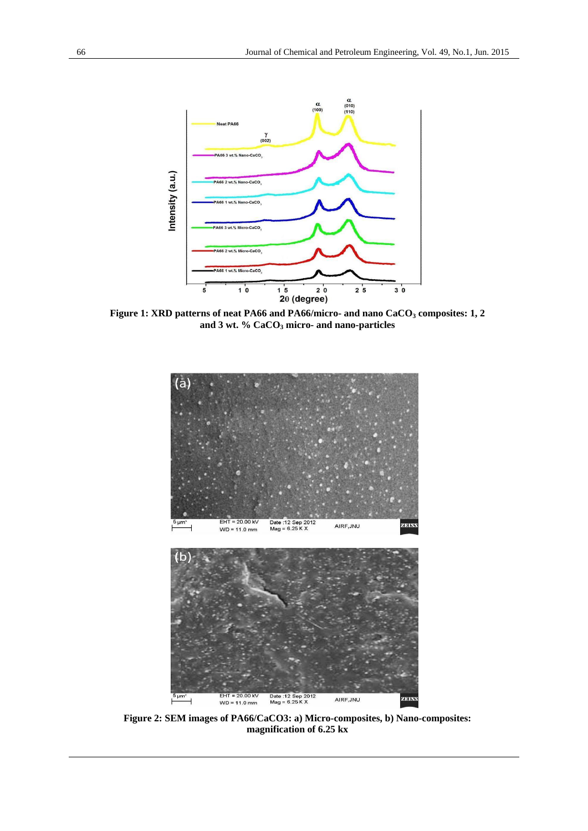

**Figure 1: XRD patterns of neat PA66 and PA66/micro- and nano CaCO<sup>3</sup> composites: 1, 2 and 3 wt. % CaCO<sup>3</sup> micro- and nano-particles**



**Figure 2: SEM images of PA66/CaCO3: a) Micro-composites, b) Nano-composites: magnification of 6.25 kx**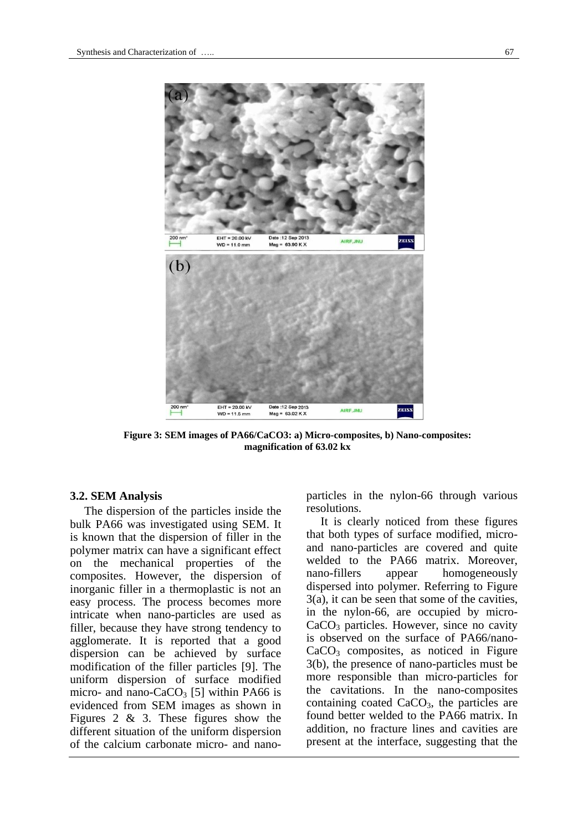

**Figure 3: SEM images of PA66/CaCO3: a) Micro-composites, b) Nano-composites: magnification of 63.02 kx**

#### **3.2. SEM Analysis**

The dispersion of the particles inside the bulk PA66 was investigated using SEM. It is known that the dispersion of filler in the polymer matrix can have a significant effect on the mechanical properties of the composites. However, the dispersion of inorganic filler in a thermoplastic is not an easy process. The process becomes more intricate when nano-particles are used as filler, because they have strong tendency to agglomerate. It is reported that a good dispersion can be achieved by surface modification of the filler particles [9]. The uniform dispersion of surface modified micro- and nano-CaCO<sub>3</sub> [5] within PA66 is evidenced from SEM images as shown in Figures 2 & 3. These figures show the different situation of the uniform dispersion of the calcium carbonate micro- and nanoparticles in the nylon-66 through various resolutions.

It is clearly noticed from these figures that both types of surface modified, microand nano-particles are covered and quite welded to the PA66 matrix. Moreover, nano-fillers appear homogeneously dispersed into polymer. Referring to Figure 3(a), it can be seen that some of the cavities, in the nylon-66, are occupied by micro- $CaCO<sub>3</sub>$  particles. However, since no cavity is observed on the surface of PA66/nano- $CaCO<sub>3</sub>$  composites, as noticed in Figure 3(b), the presence of nano-particles must be more responsible than micro-particles for the cavitations. In the nano-composites containing coated CaCO3, the particles are found better welded to the PA66 matrix. In addition, no fracture lines and cavities are present at the interface, suggesting that the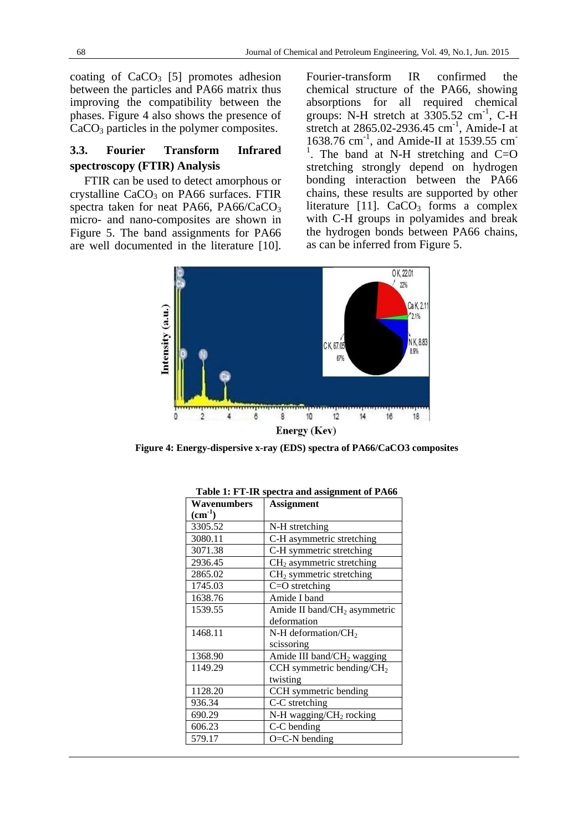coating of  $CaCO<sub>3</sub>$  [5] promotes adhesion between the particles and PA66 matrix thus improving the compatibility between the phases. Figure 4 also shows the presence of CaCO<sub>3</sub> particles in the polymer composites.

### **3.3. Fourier Transform Infrared spectroscopy (FTIR) Analysis**

FTIR can be used to detect amorphous or crystalline  $CaCO<sub>3</sub>$  on PA66 surfaces. FTIR spectra taken for neat PA66, PA66/CaCO<sub>3</sub> micro- and nano-composites are shown in Figure 5. The band assignments for PA66 are well documented in the literature [10].

Fourier-transform IR confirmed the chemical structure of the PA66, showing absorptions for all required chemical groups: N-H stretch at  $3305.52$  cm<sup>-1</sup>, C-H stretch at  $2865.02 - 2936.45$  cm<sup>-1</sup>, Amide-I at 1638.76 cm<sup>-1</sup>, and Amide-II at 1539.55 cm<sup>-</sup> <sup>1</sup>. The band at N-H stretching and  $C=O$ stretching strongly depend on hydrogen bonding interaction between the PA66 chains, these results are supported by other literature [11].  $CaCO<sub>3</sub>$  forms a complex with C-H groups in polyamides and break the hydrogen bonds between PA66 chains, as can be inferred from Figure 5.



**Figure 4: Energy-dispersive x-ray (EDS) spectra of PA66/CaCO3 composites**

| Table 1. F 1-IN specula and assignment of 1 A00 |                                          |
|-------------------------------------------------|------------------------------------------|
| Wavenumbers                                     | <b>Assignment</b>                        |
| $(cm^{-1})$                                     |                                          |
| 3305.52                                         | N-H stretching                           |
| 3080.11                                         | C-H asymmetric stretching                |
| 3071.38                                         | C-H symmetric stretching                 |
| 2936.45                                         | $CH2$ asymmetric stretching              |
| 2865.02                                         | $CH2$ symmetric stretching               |
| 1745.03                                         | $C=O$ stretching                         |
| 1638.76                                         | Amide I band                             |
| 1539.55                                         | Amide II band/CH <sub>2</sub> asymmetric |
|                                                 | deformation                              |
| 1468.11                                         | $N-H$ deformation/ $CH2$                 |
|                                                 | scissoring                               |
| 1368.90                                         | Amide III band/CH <sub>2</sub> wagging   |
| 1149.29                                         | CCH symmetric bending/ $CH2$             |
|                                                 | twisting                                 |
| 1128.20                                         | CCH symmetric bending                    |
| 936.34                                          | C-C stretching                           |
| 690.29                                          | N-H wagging/CH <sub>2</sub> rocking      |
| 606.23                                          | C-C bending                              |
| 579.17                                          | $O=C-N$ bending                          |

|--|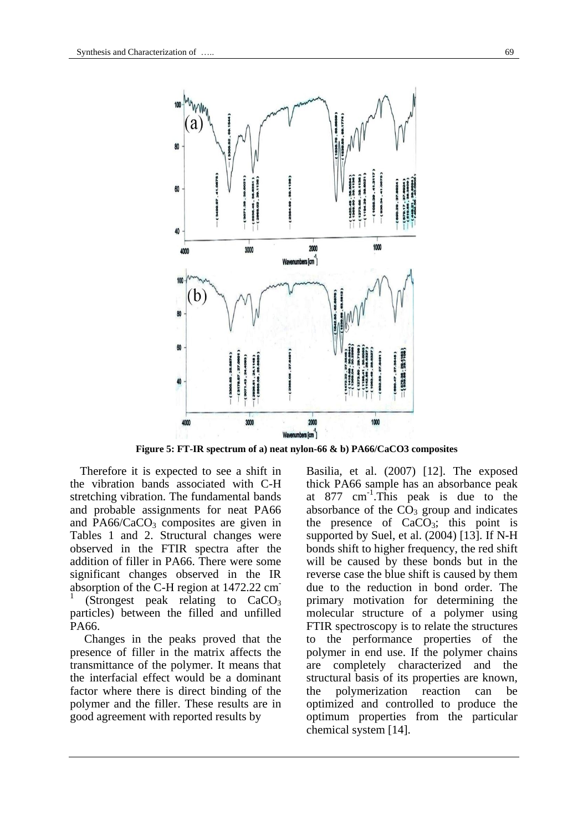

**Figure 5: FT-IR spectrum of a) neat nylon-66 & b) PA66/CaCO3 composites**

Therefore it is expected to see a shift in the vibration bands associated with C-H stretching vibration. The fundamental bands and probable assignments for neat PA66 and PA66/CaCO<sub>3</sub> composites are given in Tables 1 and 2. Structural changes were observed in the FTIR spectra after the addition of filler in PA66. There were some significant changes observed in the IR absorption of the C-H region at  $1472.22 \text{ cm}^{-1}$ (Strongest peak relating to  $CaCO<sub>3</sub>$ particles) between the filled and unfilled PA66.

Changes in the peaks proved that the presence of filler in the matrix affects the transmittance of the polymer. It means that the interfacial effect would be a dominant factor where there is direct binding of the polymer and the filler. These results are in good agreement with reported results by

Basilia, et al. (2007) [12]. The exposed thick PA66 sample has an absorbance peak at 877 cm-1 .This peak is due to the absorbance of the  $CO<sub>3</sub>$  group and indicates the presence of  $CaCO<sub>3</sub>$ ; this point is supported by Suel, et al. (2004) [13]. If N-H bonds shift to higher frequency, the red shift will be caused by these bonds but in the reverse case the blue shift is caused by them due to the reduction in bond order. The primary motivation for determining the molecular structure of a polymer using FTIR spectroscopy is to relate the structures to the performance properties of the polymer in end use. If the polymer chains are completely characterized and the structural basis of its properties are known, the polymerization reaction can be optimized and controlled to produce the optimum properties from the particular chemical system [14].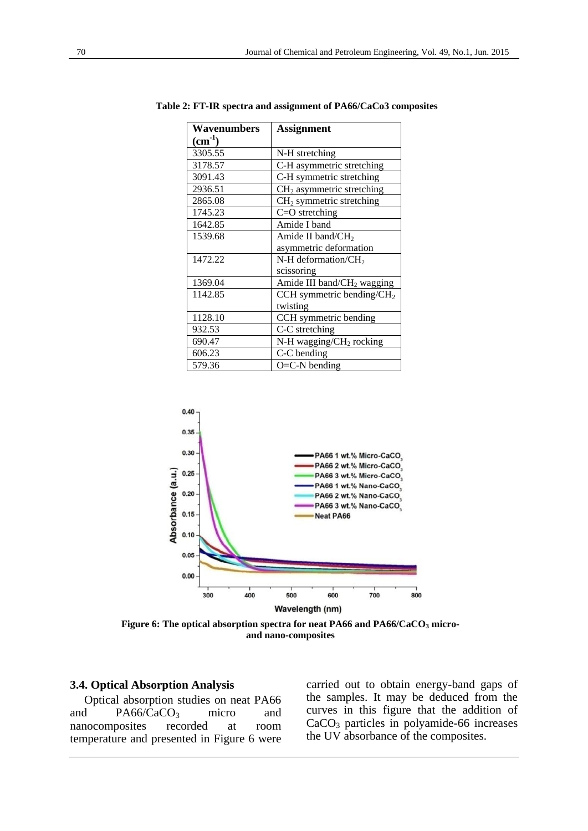| Wavenumbers        | <b>Assignment</b>                   |
|--------------------|-------------------------------------|
| $\text{(cm}^{-1})$ |                                     |
| 3305.55            | N-H stretching                      |
| 3178.57            | C-H asymmetric stretching           |
| 3091.43            | C-H symmetric stretching            |
| 2936.51            | $CH2$ asymmetric stretching         |
| 2865.08            | $CH2$ symmetric stretching          |
| 1745.23            | $C=O$ stretching                    |
| 1642.85            | Amide I band                        |
| 1539.68            | Amide II band/ $CH2$                |
|                    | asymmetric deformation              |
| 1472.22            | $N-H$ deformation/ $CH2$            |
|                    | scissoring                          |
| 1369.04            | Amide III band/ $CH2$ wagging       |
| 1142.85            | CCH symmetric bending/ $CH2$        |
|                    | twisting                            |
| 1128.10            | CCH symmetric bending               |
| 932.53             | C-C stretching                      |
| 690.47             | N-H wagging/CH <sub>2</sub> rocking |
| 606.23             | C-C bending                         |
| 579.36             | $O=C-N$ bending                     |

**Table 2: FT-IR spectra and assignment of PA66/CaCo3 composites**



**Figure 6: The optical absorption spectra for neat PA66 and PA66/CaCO<sup>3</sup> microand nano-composites**

### **3.4. Optical Absorption Analysis**

Optical absorption studies on neat PA66 and PA66/CaCO<sub>3</sub> micro and nanocomposites recorded at room temperature and presented in Figure 6 were

carried out to obtain energy-band gaps of the samples. It may be deduced from the curves in this figure that the addition of CaCO<sup>3</sup> particles in polyamide-66 increases the UV absorbance of the composites.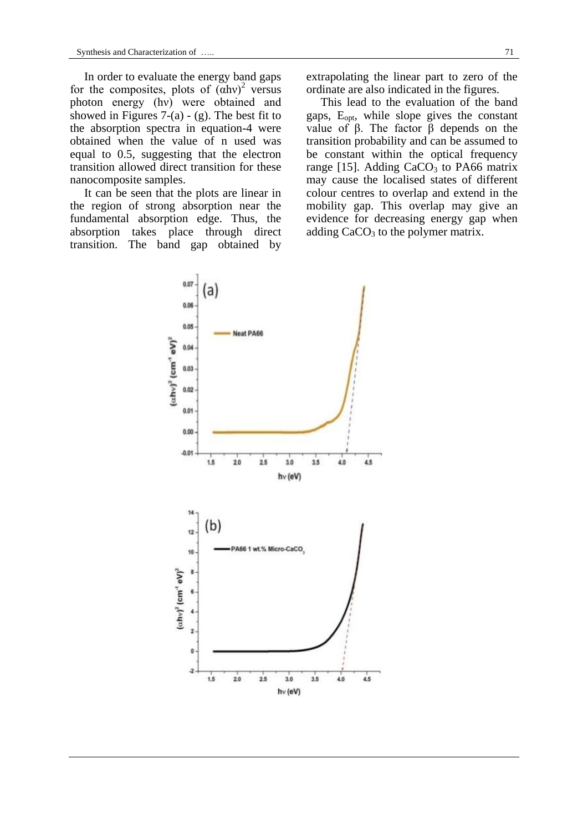In order to evaluate the energy band gaps for the composites, plots of  $(\dot{a}hv)^2$  versus photon energy (hν) were obtained and showed in Figures 7-(a) - (g). The best fit to the absorption spectra in equation-4 were obtained when the value of n used was equal to 0.5, suggesting that the electron transition allowed direct transition for these nanocomposite samples.

It can be seen that the plots are linear in the region of strong absorption near the fundamental absorption edge. Thus, the absorption takes place through direct transition. The band gap obtained by

extrapolating the linear part to zero of the ordinate are also indicated in the figures.

This lead to the evaluation of the band gaps, Eopt, while slope gives the constant value of β. The factor β depends on the transition probability and can be assumed to be constant within the optical frequency range [15]. Adding  $CaCO<sub>3</sub>$  to PA66 matrix may cause the localised states of different colour centres to overlap and extend in the mobility gap. This overlap may give an evidence for decreasing energy gap when adding  $CaCO<sub>3</sub>$  to the polymer matrix.

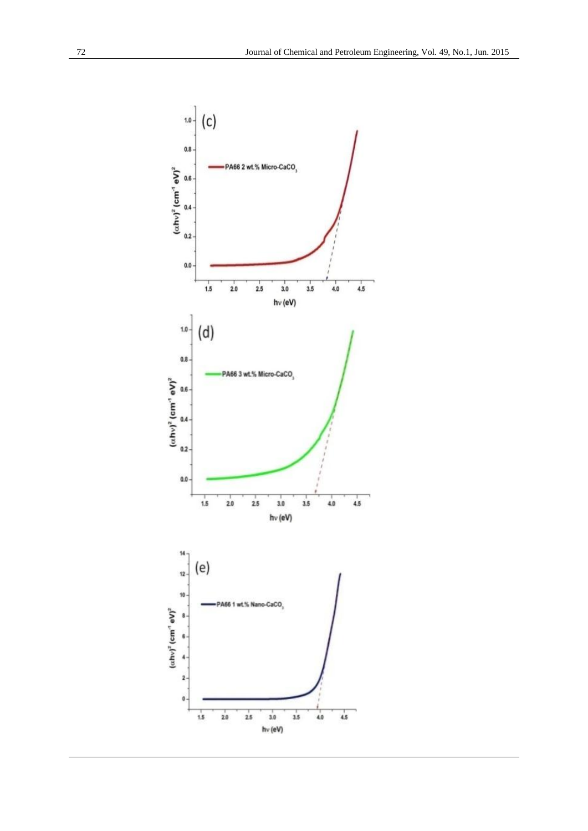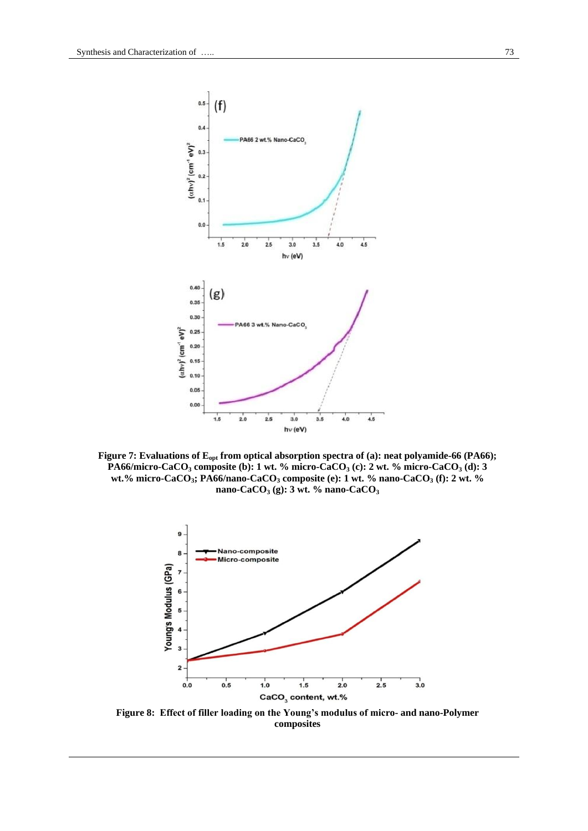

Figure 7: Evaluations of  $E_{opt}$  from optical absorption spectra of (a): neat polyamide-66 (PA66); **PA66/micro-CaCO<sup>3</sup> composite (b): 1 wt. % micro-CaCO<sup>3</sup> (c): 2 wt. % micro-CaCO<sup>3</sup> (d): 3 wt.% micro-CaCO3; PA66/nano-CaCO<sup>3</sup> composite (e): 1 wt. % nano-CaCO<sup>3</sup> (f): 2 wt. % nano-CaCO<sup>3</sup> (g): 3 wt. % nano-CaCO<sup>3</sup>**



**Figure 8: Effect of filler loading on the Young's modulus of micro- and nano-Polymer composites**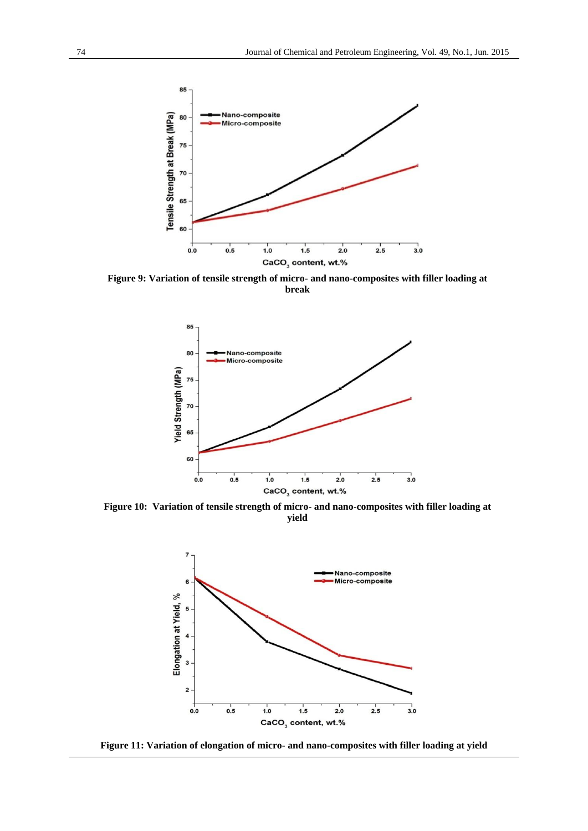

**Figure 9: Variation of tensile strength of micro- and nano-composites with filler loading at break**



**Figure 10: Variation of tensile strength of micro- and nano-composites with filler loading at yield**



**Figure 11: Variation of elongation of micro- and nano-composites with filler loading at yield**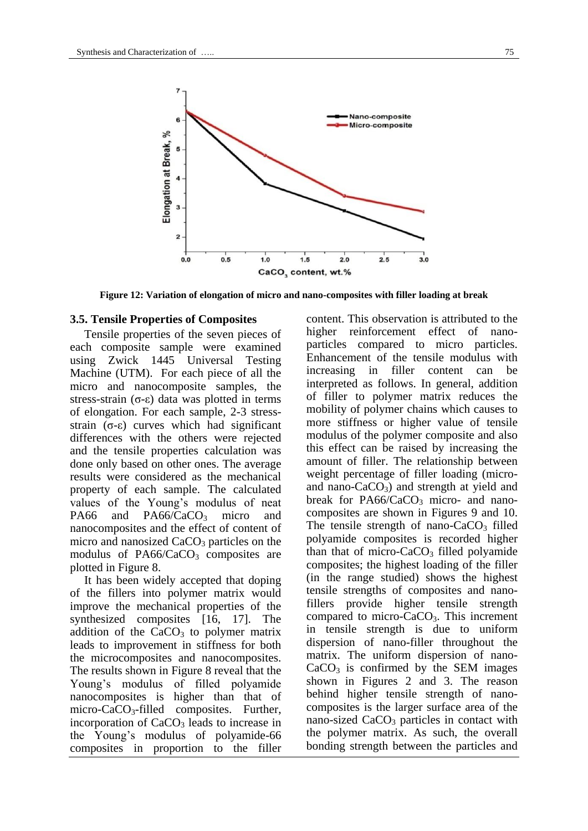

**Figure 12: Variation of elongation of micro and nano-composites with filler loading at break**

#### **3.5. Tensile Properties of Composites**

Tensile properties of the seven pieces of each composite sample were examined using Zwick 1445 Universal Testing Machine (UTM). For each piece of all the micro and nanocomposite samples, the stress-strain (σ-ε) data was plotted in terms of elongation. For each sample, 2-3 stressstrain  $(σ-ε)$  curves which had significant differences with the others were rejected and the tensile properties calculation was done only based on other ones. The average results were considered as the mechanical property of each sample. The calculated values of the Young's modulus of neat PA66 and PA66/CaCO<sub>3</sub> micro and nanocomposites and the effect of content of micro and nanosized  $CaCO<sub>3</sub>$  particles on the modulus of  $PA66/CaCO<sub>3</sub>$  composites are plotted in Figure 8.

It has been widely accepted that doping of the fillers into polymer matrix would improve the mechanical properties of the synthesized composites [16, 17]. The addition of the  $CaCO<sub>3</sub>$  to polymer matrix leads to improvement in stiffness for both the microcomposites and nanocomposites. The results shown in Figure 8 reveal that the Young's modulus of filled polyamide nanocomposites is higher than that of micro-CaCO<sub>3</sub>-filled composites. Further, incorporation of  $CaCO<sub>3</sub>$  leads to increase in the Young's modulus of polyamide-66 composites in proportion to the filler content. This observation is attributed to the higher reinforcement effect of nanoparticles compared to micro particles. Enhancement of the tensile modulus with increasing in filler content can be interpreted as follows. In general, addition of filler to polymer matrix reduces the mobility of polymer chains which causes to more stiffness or higher value of tensile modulus of the polymer composite and also this effect can be raised by increasing the amount of filler. The relationship between weight percentage of filler loading (microand nano- $CaCO<sub>3</sub>$ ) and strength at yield and break for  $PA66/CaCO<sub>3</sub>$  micro- and nanocomposites are shown in Figures 9 and 10. The tensile strength of nano-CaCO<sub>3</sub> filled polyamide composites is recorded higher than that of micro- $CaCO<sub>3</sub>$  filled polyamide composites; the highest loading of the filler (in the range studied) shows the highest tensile strengths of composites and nanofillers provide higher tensile strength compared to micro-CaCO3. This increment in tensile strength is due to uniform dispersion of nano-filler throughout the matrix. The uniform dispersion of nano- $CaCO<sub>3</sub>$  is confirmed by the SEM images shown in Figures 2 and 3. The reason behind higher tensile strength of nanocomposites is the larger surface area of the nano-sized  $CaCO<sub>3</sub>$  particles in contact with the polymer matrix. As such, the overall bonding strength between the particles and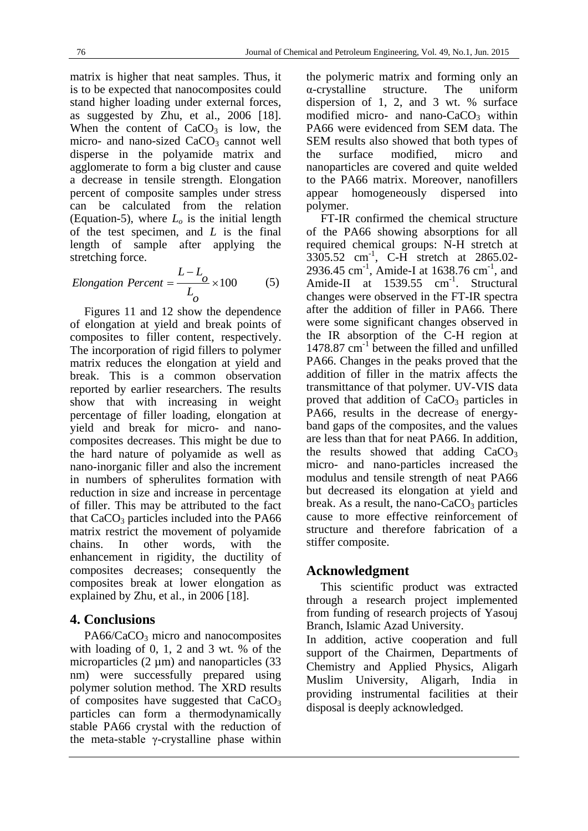matrix is higher that neat samples. Thus, it is to be expected that nanocomposites could stand higher loading under external forces, as suggested by Zhu, et al., 2006 [18]. When the content of  $CaCO<sub>3</sub>$  is low, the micro- and nano-sized  $CaCO<sub>3</sub>$  cannot well disperse in the polyamide matrix and agglomerate to form a big cluster and cause a decrease in tensile strength. Elongation percent of composite samples under stress can be calculated from the relation (Equation-5), where *L<sup>o</sup>* is the initial length of the test specimen, and *L* is the final length of sample after applying the stretching force.

$$
Elongation\,Percent = \frac{L - L_o}{L_o} \times 100\tag{5}
$$

Figures 11 and 12 show the dependence of elongation at yield and break points of composites to filler content, respectively. The incorporation of rigid fillers to polymer matrix reduces the elongation at yield and break. This is a common observation reported by earlier researchers. The results show that with increasing in weight percentage of filler loading, elongation at yield and break for micro- and nanocomposites decreases. This might be due to the hard nature of polyamide as well as nano-inorganic filler and also the increment in numbers of spherulites formation with reduction in size and increase in percentage of filler. This may be attributed to the fact that  $CaCO<sub>3</sub>$  particles included into the PA66 matrix restrict the movement of polyamide chains. In other words, with the enhancement in rigidity, the ductility of composites decreases; consequently the composites break at lower elongation as explained by Zhu, et al., in 2006 [18].

# **4. Conclusions**

 $PA66/CaCO<sub>3</sub>$  micro and nanocomposites with loading of 0, 1, 2 and 3 wt. % of the microparticles  $(2 \mu m)$  and nanoparticles  $(33 \mu m)$ nm) were successfully prepared using polymer solution method. The XRD results of composites have suggested that  $CaCO<sub>3</sub>$ particles can form a thermodynamically stable PA66 crystal with the reduction of the meta-stable γ-crystalline phase within

the polymeric matrix and forming only an α-crystalline structure. The uniform dispersion of 1, 2, and 3 wt. % surface modified micro- and nano-CaCO<sub>3</sub> within PA66 were evidenced from SEM data. The SEM results also showed that both types of the surface modified, micro and nanoparticles are covered and quite welded to the PA66 matrix. Moreover, nanofillers appear homogeneously dispersed into polymer.

FT-IR confirmed the chemical structure of the PA66 showing absorptions for all required chemical groups: N-H stretch at 3305.52 cm-1 , C-H stretch at 2865.02- 2936.45 cm<sup>-1</sup>, Amide-I at 1638.76 cm<sup>-1</sup>, and Amide-II at 1539.55 cm<sup>-1</sup>. Structural changes were observed in the FT-IR spectra after the addition of filler in PA66. There were some significant changes observed in the IR absorption of the C-H region at 1478.87 cm-1 between the filled and unfilled PA66. Changes in the peaks proved that the addition of filler in the matrix affects the transmittance of that polymer. UV-VIS data proved that addition of  $CaCO<sub>3</sub>$  particles in PA66, results in the decrease of energyband gaps of the composites, and the values are less than that for neat PA66. In addition, the results showed that adding  $CaCO<sub>3</sub>$ micro- and nano-particles increased the modulus and tensile strength of neat PA66 but decreased its elongation at yield and break. As a result, the nano- $CaCO<sub>3</sub>$  particles cause to more effective reinforcement of structure and therefore fabrication of a stiffer composite.

### **Acknowledgment**

This scientific product was extracted through a research project implemented from funding of research projects of Yasouj Branch, Islamic Azad University.

In addition, active cooperation and full support of the Chairmen, Departments of Chemistry and Applied Physics, Aligarh Muslim University, Aligarh, India in providing instrumental facilities at their disposal is deeply acknowledged.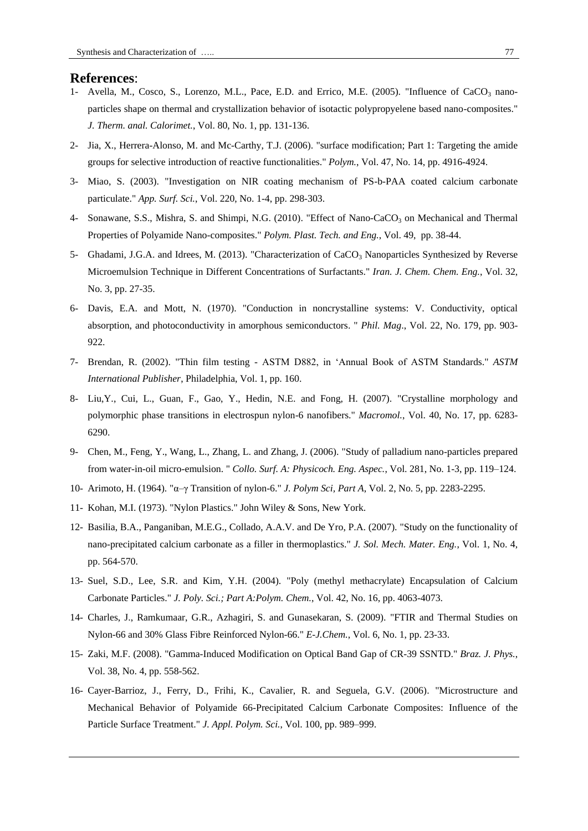#### **References**:

- 1- Avella, M., Cosco, S., Lorenzo, M.L., Pace, E.D. and Errico, M.E. (2005). "Influence of CaCO<sub>3</sub> nanoparticles shape on thermal and crystallization behavior of isotactic polypropyelene based nano-composites." *J. Therm. anal. Calorimet.*, Vol. 80, No. 1, pp. 131-136.
- 2- Jia, X., Herrera-Alonso, M. and Mc-Carthy, T.J. (2006). "surface modification; Part 1: Targeting the amide groups for selective introduction of reactive functionalities." *Polym.*, Vol. 47, No. 14, pp. 4916-4924.
- 3- Miao, S. (2003). "Investigation on NIR coating mechanism of PS-b-PAA coated calcium carbonate particulate." *App. Surf. Sci.*, Vol. 220, No. 1-4, pp. 298-303.
- 4- Sonawane, S.S., Mishra, S. and Shimpi, N.G. (2010). "Effect of Nano-CaCO<sub>3</sub> on Mechanical and Thermal Properties of Polyamide Nano-composites." *Polym. Plast. Tech. and Eng.*, Vol. 49, pp. 38-44.
- 5- Ghadami, J.G.A. and Idrees, M. (2013). "Characterization of  $CaCO<sub>3</sub>$  Nanoparticles Synthesized by Reverse Microemulsion Technique in Different Concentrations of Surfactants." *Iran. J. Chem. Chem. Eng.*, Vol. 32, No. 3, pp. 27-35.
- 6- Davis, E.A. and Mott, N. (1970). "Conduction in noncrystalline systems: V. Conductivity, optical absorption, and photoconductivity in amorphous semiconductors. " *Phil. Mag*., Vol. 22, No. 179, pp. 903- 922.
- 7- Brendan, R. (2002). "Thin film testing ASTM D882, in 'Annual Book of ASTM Standards." *ASTM International Publisher*, Philadelphia, Vol. 1, pp. 160.
- 8- Liu,Y., Cui, L., Guan, F., Gao, Y., Hedin, N.E. and Fong, H. (2007). "Crystalline morphology and polymorphic phase transitions in electrospun nylon-6 nanofibers." *Macromol.*, Vol. 40, No. 17, pp. 6283- 6290.
- 9- Chen, M., Feng, Y., Wang, L., Zhang, L. and Zhang, J. (2006). "Study of palladium nano-particles prepared from water-in-oil micro-emulsion. " *Collo. Surf. A: Physicoch. Eng. Aspec.*, Vol. 281, No. 1-3, pp. 119–124.
- 10- Arimoto, H. (1964). "α–γ Transition of nylon-6." *J. Polym Sci, Part A*, Vol. 2, No. 5, pp. 2283-2295.
- 11- Kohan, M.I. (1973). "Nylon Plastics." John Wiley & Sons, New York.
- 12- Basilia, B.A., Panganiban, M.E.G., Collado, A.A.V. and De Yro, P.A. (2007). "Study on the functionality of nano-precipitated calcium carbonate as a filler in thermoplastics." *J. Sol. Mech. Mater. Eng.*, Vol. 1, No. 4, pp. 564-570.
- 13- Suel, S.D., Lee, S.R. and Kim, Y.H. (2004). "Poly (methyl methacrylate) Encapsulation of Calcium Carbonate Particles." *J. Poly. Sci.; Part A:Polym. Chem.*, Vol. 42, No. 16, pp. 4063-4073.
- 14- Charles, J., Ramkumaar, G.R., Azhagiri, S. and Gunasekaran, S. (2009). "FTIR and Thermal Studies on Nylon-66 and 30% Glass Fibre Reinforced Nylon-66." *E-J.Chem.*, Vol. 6, No. 1, pp. 23-33.
- 15- Zaki, M.F. (2008). "Gamma-Induced Modification on Optical Band Gap of CR-39 SSNTD." *Braz. J. Phys.*, Vol. 38, No. 4, pp. 558-562.
- 16- Cayer-Barrioz, J., Ferry, D., Frihi, K., Cavalier, R. and Seguela, G.V. (2006). "Microstructure and Mechanical Behavior of Polyamide 66-Precipitated Calcium Carbonate Composites: Influence of the Particle Surface Treatment." *J. Appl. Polym. Sci.*, Vol. 100, pp. 989–999.